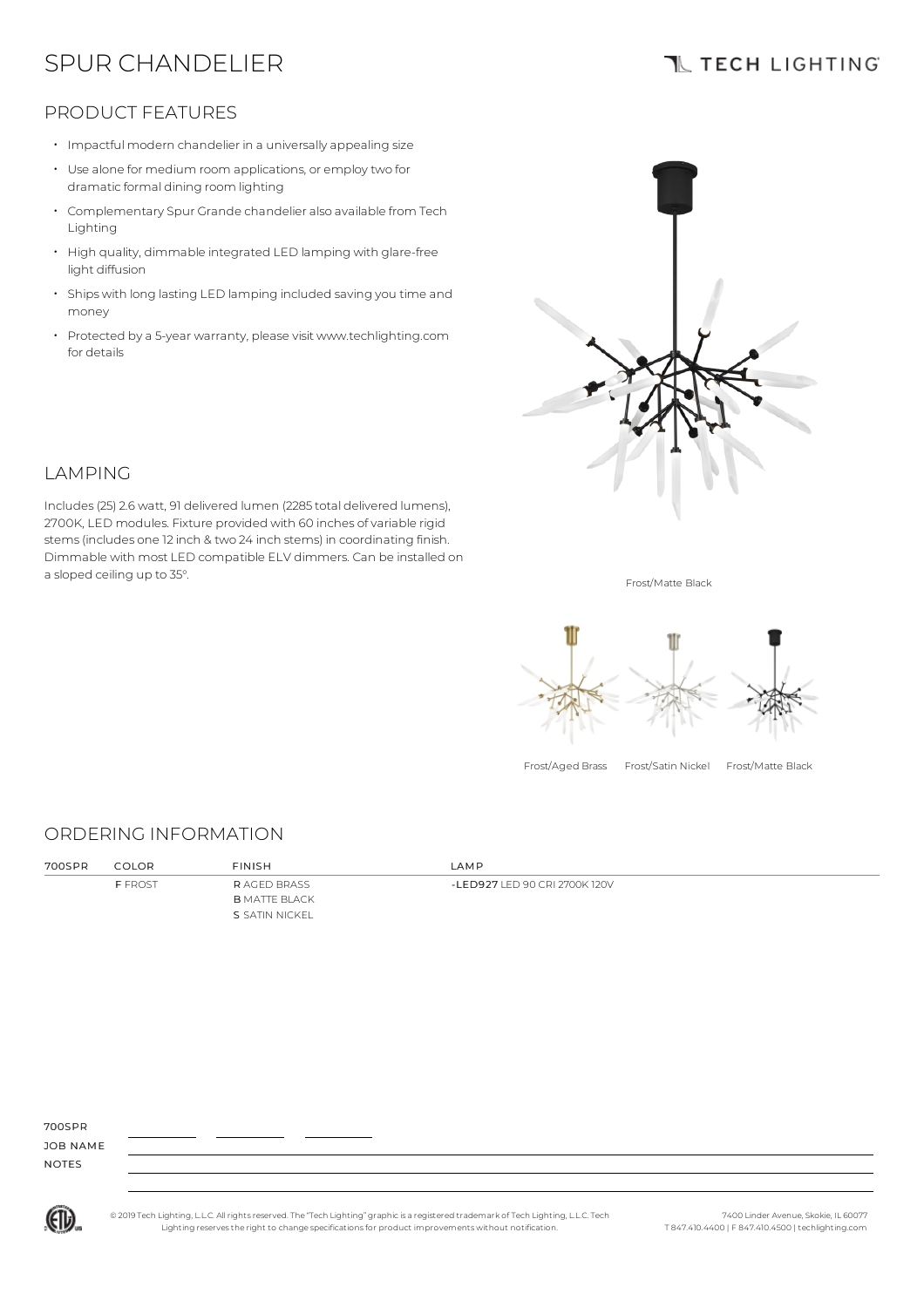# SPUR CHANDELIER

## **TL TECH LIGHTING**

### PRODUCT FEATURES

- Impactful modern chandelier in a universally appealing size
- Use alone for medium room applications, or employ two for dramatic formal dining room lighting
- Complementary Spur Grande chandelier also available from Tech Lighting
- High quality, dimmable integrated LED lamping with glare-free light diffusion
- Ships with long lasting LED lamping included saving you time and money
- Protected by a 5-year warranty, please visit www.techlighting.com for details



## **LAMPING**

Includes(25) 2.6 watt, 91 delivered lumen (2285 total delivered lumens), 2700K, LED modules. Fixture provided with 60 inches of variable rigid stems(includes one 12 inch & two 24 inch stems) in coordinating finish. Dimmable with most LED compatible ELV dimmers. Can be installed on a sloped ceiling up to 35°.

Frost/Matte Black



Frost/Aged Brass Frost/Satin Nickel Frost/Matte Black

#### ORDERING INFORMATION

| 700SPR | COLOR          | <b>FINISH</b>        | LAMP                          |
|--------|----------------|----------------------|-------------------------------|
|        | <b>F FROST</b> | <b>RAGED BRASS</b>   | -LED927 LED 90 CRI 2700K 120V |
|        |                | <b>B</b> MATTE BLACK |                               |
|        |                | S SATIN NICKEL       |                               |

700SPR

JOB NAME NOTES



© 2019 Tech Lighting, L.L.C. All rightsreserved. The "Tech Lighting" graphicis a registered trademark of Tech Lighting, L.L.C. Tech Lighting reservesthe right to change specificationsfor product improvements without notification.

7400 Linder Avenue, Skokie, IL 60077 T 847.410.4400 | F 847.410.4500 | techlighting.com